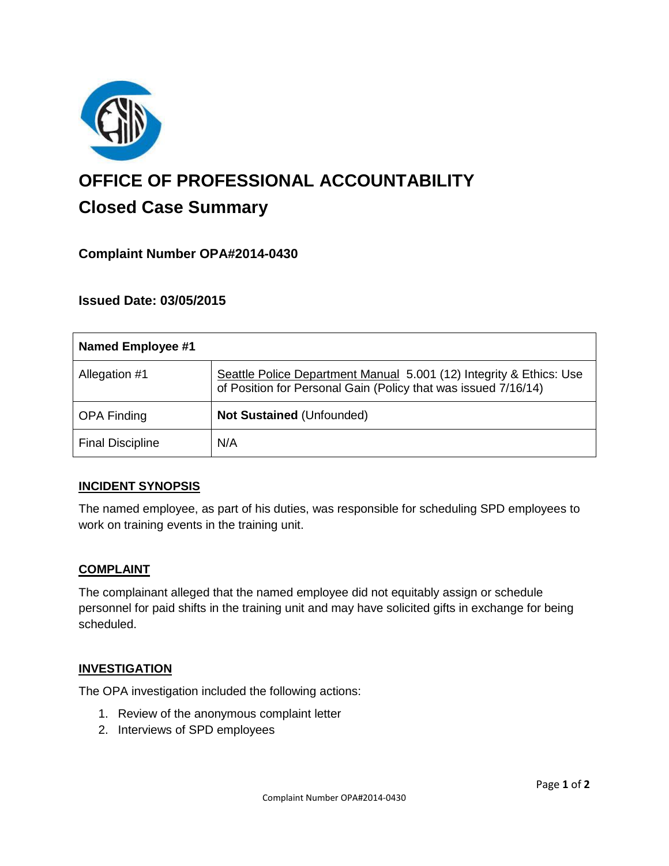

# **OFFICE OF PROFESSIONAL ACCOUNTABILITY Closed Case Summary**

# **Complaint Number OPA#2014-0430**

## **Issued Date: 03/05/2015**

| <b>Named Employee #1</b> |                                                                                                                                       |
|--------------------------|---------------------------------------------------------------------------------------------------------------------------------------|
| Allegation #1            | Seattle Police Department Manual 5.001 (12) Integrity & Ethics: Use<br>of Position for Personal Gain (Policy that was issued 7/16/14) |
| <b>OPA Finding</b>       | <b>Not Sustained (Unfounded)</b>                                                                                                      |
| <b>Final Discipline</b>  | N/A                                                                                                                                   |

## **INCIDENT SYNOPSIS**

The named employee, as part of his duties, was responsible for scheduling SPD employees to work on training events in the training unit.

#### **COMPLAINT**

The complainant alleged that the named employee did not equitably assign or schedule personnel for paid shifts in the training unit and may have solicited gifts in exchange for being scheduled.

#### **INVESTIGATION**

The OPA investigation included the following actions:

- 1. Review of the anonymous complaint letter
- 2. Interviews of SPD employees